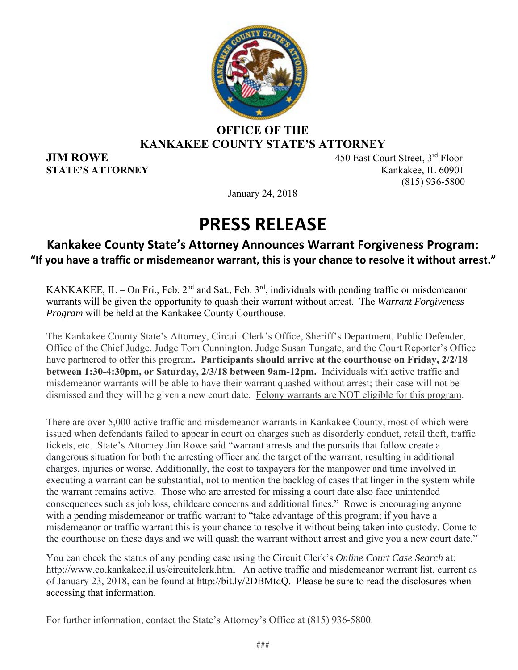

#### **OFFICE OF THE KANKAKEE COUNTY STATE'S ATTORNEY**

**JIM ROWE** 450 East Court Street, 3<sup>rd</sup> Floor **STATE'S ATTORNEY** Kankakee, IL 60901 (815) 936-5800

January 24, 2018

### **PRESS RELEASE**

### **Kankakee County State's Attorney Announces Warrant Forgiveness Program: "If you have a traffic or misdemeanor warrant, this is your chance to resolve it without arrest."**

KANKAKEE, IL – On Fri., Feb.  $2<sup>nd</sup>$  and Sat., Feb.  $3<sup>rd</sup>$ , individuals with pending traffic or misdemeanor warrants will be given the opportunity to quash their warrant without arrest. The *Warrant Forgiveness Program* will be held at the Kankakee County Courthouse.

The Kankakee County State's Attorney, Circuit Clerk's Office, Sheriff's Department, Public Defender, Office of the Chief Judge, Judge Tom Cunnington, Judge Susan Tungate, and the Court Reporter's Office have partnered to offer this program**. Participants should arrive at the courthouse on Friday, 2/2/18 between 1:30-4:30pm, or Saturday, 2/3/18 between 9am-12pm.** Individuals with active traffic and misdemeanor warrants will be able to have their warrant quashed without arrest; their case will not be dismissed and they will be given a new court date. Felony warrants are NOT eligible for this program.

There are over 5,000 active traffic and misdemeanor warrants in Kankakee County, most of which were issued when defendants failed to appear in court on charges such as disorderly conduct, retail theft, traffic tickets, etc. State's Attorney Jim Rowe said "warrant arrests and the pursuits that follow create a dangerous situation for both the arresting officer and the target of the warrant, resulting in additional charges, injuries or worse. Additionally, the cost to taxpayers for the manpower and time involved in executing a warrant can be substantial, not to mention the backlog of cases that linger in the system while the warrant remains active. Those who are arrested for missing a court date also face unintended consequences such as job loss, childcare concerns and additional fines." Rowe is encouraging anyone with a pending misdemeanor or traffic warrant to "take advantage of this program; if you have a misdemeanor or traffic warrant this is your chance to resolve it without being taken into custody. Come to the courthouse on these days and we will quash the warrant without arrest and give you a new court date."

You can check the status of any pending case using the Circuit Clerk's *Online Court Case Search* at: http://www.co.kankakee.il.us/circuitclerk.html An active traffic and misdemeanor warrant list, current as of January 23, 2018, can be found at http://bit.ly/2DBMtdQ. Please be sure to read the disclosures when accessing that information.

For further information, contact the State's Attorney's Office at (815) 936-5800.